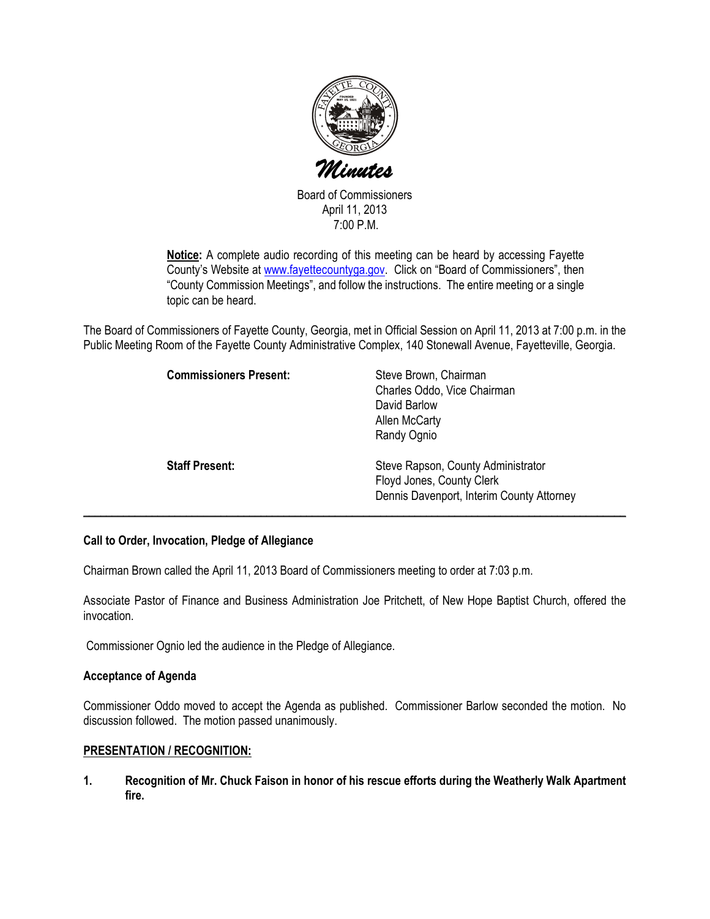

Board of Commissioners April 11, 2013 7:00 P.M.

Notice: A complete audio recording of this meeting can be heard by accessing Fayette County's Website at www.fayettecountyga.gov. Click on "Board of Commissioners", then "County Commission Meetings", and follow the instructions. The entire meeting or a single topic can be heard.

The Board of Commissioners of Fayette County, Georgia, met in Official Session on April 11, 2013 at 7:00 p.m. in the Public Meeting Room of the Fayette County Administrative Complex, 140 Stonewall Avenue, Fayetteville, Georgia.

| <b>Commissioners Present:</b> | Steve Brown, Chairman<br>Charles Oddo, Vice Chairman<br>David Barlow<br>Allen McCarty<br>Randy Ognio         |
|-------------------------------|--------------------------------------------------------------------------------------------------------------|
| <b>Staff Present:</b>         | Steve Rapson, County Administrator<br>Floyd Jones, County Clerk<br>Dennis Davenport, Interim County Attorney |

## Call to Order, Invocation, Pledge of Allegiance

Chairman Brown called the April 11, 2013 Board of Commissioners meeting to order at 7:03 p.m.

Associate Pastor of Finance and Business Administration Joe Pritchett, of New Hope Baptist Church, offered the invocation.

Commissioner Ognio led the audience in the Pledge of Allegiance.

### Acceptance of Agenda

Commissioner Oddo moved to accept the Agenda as published. Commissioner Barlow seconded the motion. No discussion followed. The motion passed unanimously.

### PRESENTATION / RECOGNITION:

1. Recognition of Mr. Chuck Faison in honor of his rescue efforts during the Weatherly Walk Apartment fire.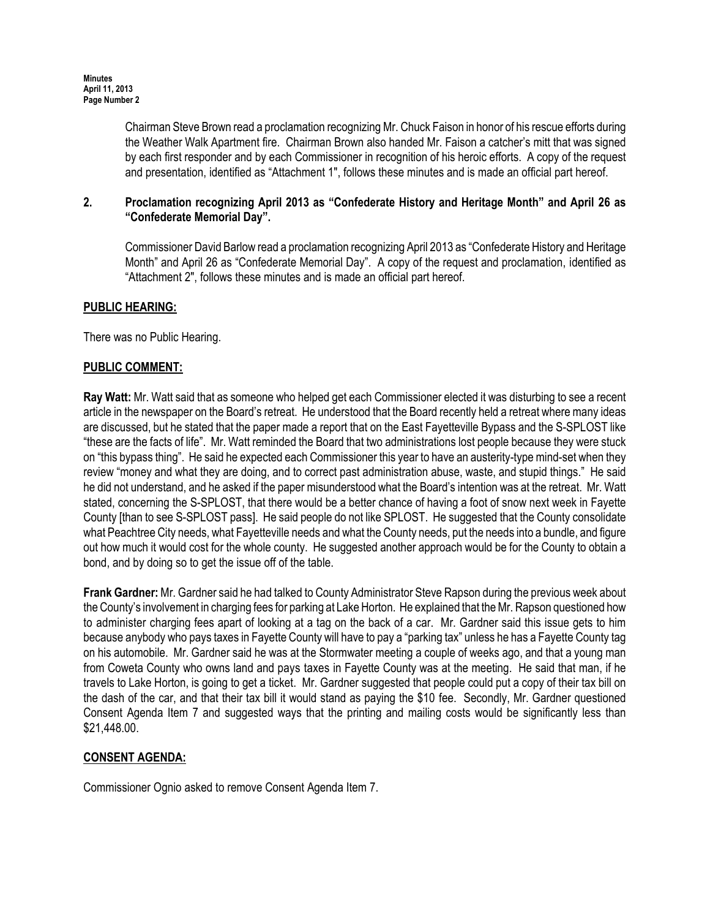Chairman Steve Brown read a proclamation recognizing Mr. Chuck Faison in honor of his rescue efforts during the Weather Walk Apartment fire. Chairman Brown also handed Mr. Faison a catcher's mitt that was signed by each first responder and by each Commissioner in recognition of his heroic efforts. A copy of the request and presentation, identified as "Attachment 1", follows these minutes and is made an official part hereof.

## 2. Proclamation recognizing April 2013 as "Confederate History and Heritage Month" and April 26 as "Confederate Memorial Day".

Commissioner David Barlow read a proclamation recognizing April 2013 as "Confederate History and Heritage Month" and April 26 as "Confederate Memorial Day". A copy of the request and proclamation, identified as "Attachment 2", follows these minutes and is made an official part hereof.

## PUBLIC HEARING:

There was no Public Hearing.

### PUBLIC COMMENT:

Ray Watt: Mr. Watt said that as someone who helped get each Commissioner elected it was disturbing to see a recent article in the newspaper on the Board's retreat. He understood that the Board recently held a retreat where many ideas are discussed, but he stated that the paper made a report that on the East Fayetteville Bypass and the S-SPLOST like "these are the facts of life". Mr. Watt reminded the Board that two administrations lost people because they were stuck on "this bypass thing". He said he expected each Commissioner this year to have an austerity-type mind-set when they review "money and what they are doing, and to correct past administration abuse, waste, and stupid things." He said he did not understand, and he asked if the paper misunderstood what the Board's intention was at the retreat. Mr. Watt stated, concerning the S-SPLOST, that there would be a better chance of having a foot of snow next week in Fayette County [than to see S-SPLOST pass]. He said people do not like SPLOST. He suggested that the County consolidate what Peachtree City needs, what Fayetteville needs and what the County needs, put the needs into a bundle, and figure out how much it would cost for the whole county. He suggested another approach would be for the County to obtain a bond, and by doing so to get the issue off of the table.

Frank Gardner: Mr. Gardner said he had talked to County Administrator Steve Rapson during the previous week about the County's involvement in charging fees for parking at Lake Horton. He explained that the Mr. Rapson questioned how to administer charging fees apart of looking at a tag on the back of a car. Mr. Gardner said this issue gets to him because anybody who pays taxes in Fayette County will have to pay a "parking tax" unless he has a Fayette County tag on his automobile. Mr. Gardner said he was at the Stormwater meeting a couple of weeks ago, and that a young man from Coweta County who owns land and pays taxes in Fayette County was at the meeting. He said that man, if he travels to Lake Horton, is going to get a ticket. Mr. Gardner suggested that people could put a copy of their tax bill on the dash of the car, and that their tax bill it would stand as paying the \$10 fee. Secondly, Mr. Gardner questioned Consent Agenda Item 7 and suggested ways that the printing and mailing costs would be significantly less than \$21,448.00.

## CONSENT AGENDA:

Commissioner Ognio asked to remove Consent Agenda Item 7.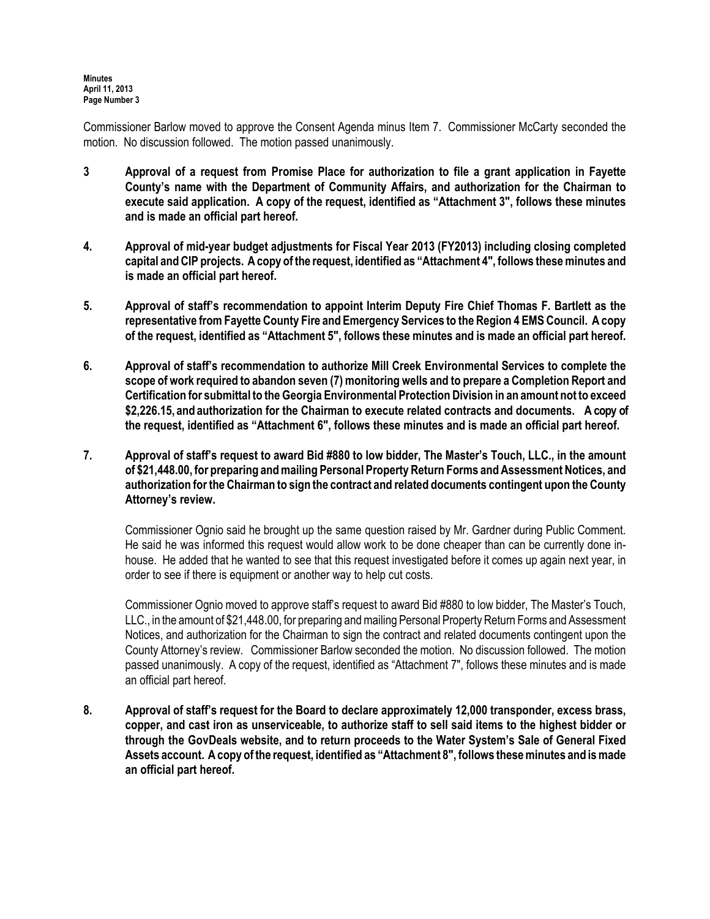Commissioner Barlow moved to approve the Consent Agenda minus Item 7. Commissioner McCarty seconded the motion. No discussion followed. The motion passed unanimously.

- 3 Approval of a request from Promise Place for authorization to file a grant application in Fayette County's name with the Department of Community Affairs, and authorization for the Chairman to execute said application. A copy of the request, identified as "Attachment 3", follows these minutes and is made an official part hereof.
- 4. Approval of mid-year budget adjustments for Fiscal Year 2013 (FY2013) including closing completed capital and CIP projects. A copy of the request, identified as "Attachment 4", follows these minutes and is made an official part hereof.
- 5. Approval of staff's recommendation to appoint Interim Deputy Fire Chief Thomas F. Bartlett as the representative from Fayette County Fire and Emergency Services to the Region 4 EMS Council. A copy of the request, identified as "Attachment 5", follows these minutes and is made an official part hereof.
- 6. Approval of staff's recommendation to authorize Mill Creek Environmental Services to complete the scope of work required to abandon seven (7) monitoring wells and to prepare a Completion Report and Certification for submittal to the Georgia Environmental Protection Division in an amount not to exceed \$2,226.15, and authorization for the Chairman to execute related contracts and documents. A copy of the request, identified as "Attachment 6", follows these minutes and is made an official part hereof.
- 7. Approval of staff's request to award Bid #880 to low bidder, The Master's Touch, LLC., in the amount of \$21,448.00, for preparing and mailing Personal Property Return Forms and Assessment Notices, and authorization for the Chairman to sign the contract and related documents contingent upon the County Attorney's review.

Commissioner Ognio said he brought up the same question raised by Mr. Gardner during Public Comment. He said he was informed this request would allow work to be done cheaper than can be currently done inhouse. He added that he wanted to see that this request investigated before it comes up again next year, in order to see if there is equipment or another way to help cut costs.

Commissioner Ognio moved to approve staff's request to award Bid #880 to low bidder, The Master's Touch, LLC., in the amount of \$21,448.00, for preparing and mailing Personal Property Return Forms and Assessment Notices, and authorization for the Chairman to sign the contract and related documents contingent upon the County Attorney's review. Commissioner Barlow seconded the motion. No discussion followed. The motion passed unanimously. A copy of the request, identified as "Attachment 7", follows these minutes and is made an official part hereof.

8. Approval of staff's request for the Board to declare approximately 12,000 transponder, excess brass, copper, and cast iron as unserviceable, to authorize staff to sell said items to the highest bidder or through the GovDeals website, and to return proceeds to the Water System's Sale of General Fixed Assets account. A copy of the request, identified as "Attachment 8", follows these minutes and is made an official part hereof.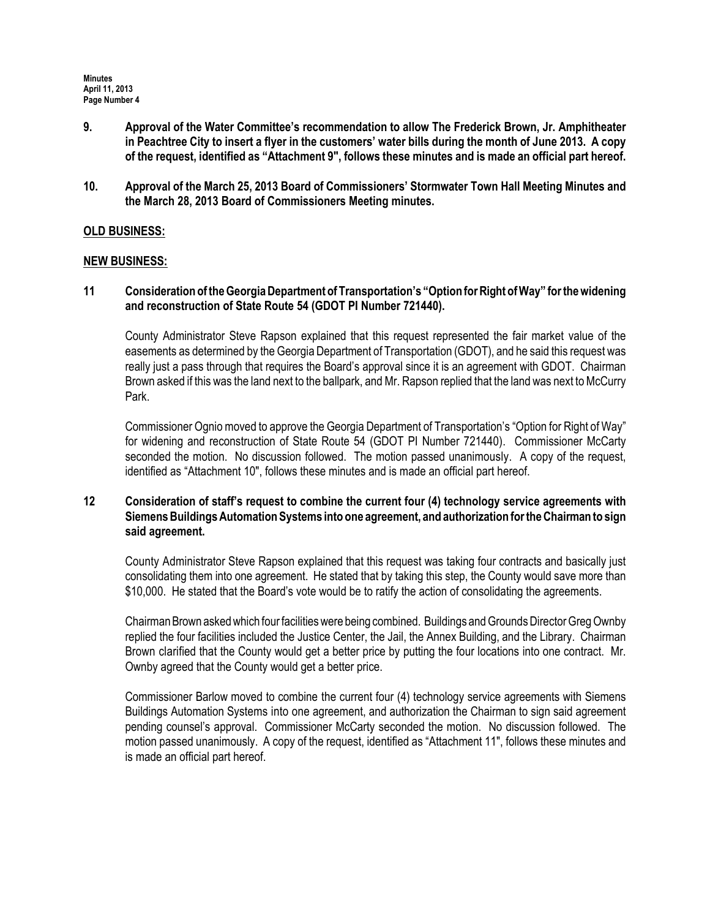- 9. Approval of the Water Committee's recommendation to allow The Frederick Brown, Jr. Amphitheater in Peachtree City to insert a flyer in the customers' water bills during the month of June 2013. A copy of the request, identified as "Attachment 9", follows these minutes and is made an official part hereof.
- 10. Approval of the March 25, 2013 Board of Commissioners' Stormwater Town Hall Meeting Minutes and the March 28, 2013 Board of Commissioners Meeting minutes.

### OLD BUSINESS:

### NEW BUSINESS:

11 Consideration of the Georgia Department of Transportation's "Option for Right of Way" for the widening and reconstruction of State Route 54 (GDOT PI Number 721440).

County Administrator Steve Rapson explained that this request represented the fair market value of the easements as determined by the Georgia Department of Transportation (GDOT), and he said this request was really just a pass through that requires the Board's approval since it is an agreement with GDOT. Chairman Brown asked if this was the land next to the ballpark, and Mr. Rapson replied that the land was next to McCurry Park.

Commissioner Ognio moved to approve the Georgia Department of Transportation's "Option for Right of Way" for widening and reconstruction of State Route 54 (GDOT PI Number 721440). Commissioner McCarty seconded the motion. No discussion followed. The motion passed unanimously. A copy of the request, identified as "Attachment 10", follows these minutes and is made an official part hereof.

### 12 Consideration of staff's request to combine the current four (4) technology service agreements with Siemens Buildings Automation Systems into one agreement, and authorization for the Chairman to sign said agreement.

County Administrator Steve Rapson explained that this request was taking four contracts and basically just consolidating them into one agreement. He stated that by taking this step, the County would save more than \$10,000. He stated that the Board's vote would be to ratify the action of consolidating the agreements.

Chairman Brown asked which four facilities were being combined. Buildings and Grounds Director Greg Ownby replied the four facilities included the Justice Center, the Jail, the Annex Building, and the Library. Chairman Brown clarified that the County would get a better price by putting the four locations into one contract. Mr. Ownby agreed that the County would get a better price.

Commissioner Barlow moved to combine the current four (4) technology service agreements with Siemens Buildings Automation Systems into one agreement, and authorization the Chairman to sign said agreement pending counsel's approval. Commissioner McCarty seconded the motion. No discussion followed. The motion passed unanimously. A copy of the request, identified as "Attachment 11", follows these minutes and is made an official part hereof.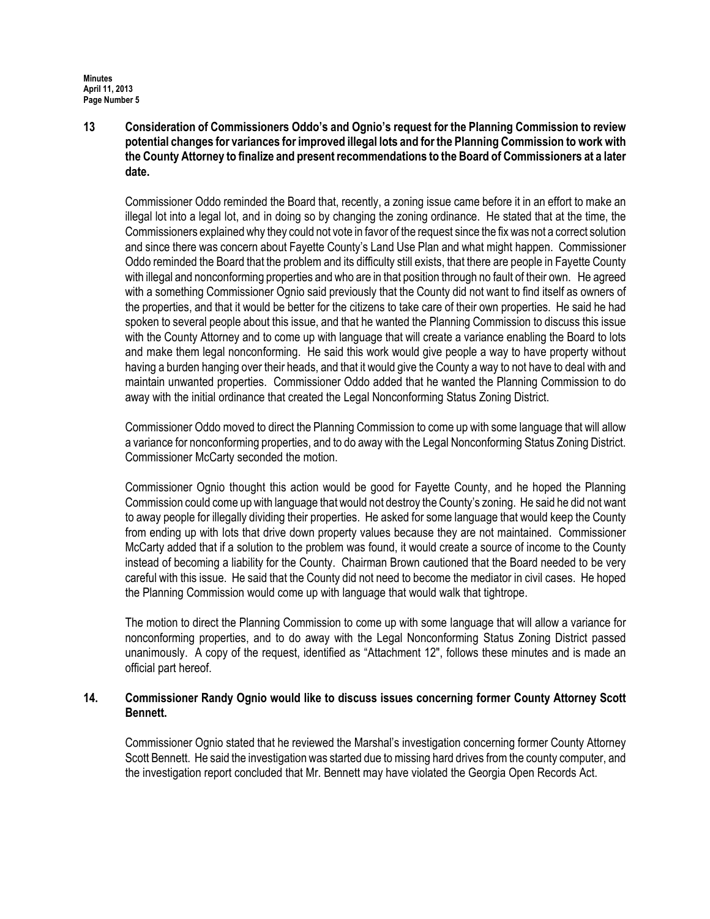13 Consideration of Commissioners Oddo's and Ognio's request for the Planning Commission to review potential changes for variances for improved illegal lots and for the Planning Commission to work with the County Attorney to finalize and present recommendations to the Board of Commissioners at a later date.

Commissioner Oddo reminded the Board that, recently, a zoning issue came before it in an effort to make an illegal lot into a legal lot, and in doing so by changing the zoning ordinance. He stated that at the time, the Commissioners explained why they could not vote in favor of the request since the fix was not a correct solution and since there was concern about Fayette County's Land Use Plan and what might happen. Commissioner Oddo reminded the Board that the problem and its difficulty still exists, that there are people in Fayette County with illegal and nonconforming properties and who are in that position through no fault of their own. He agreed with a something Commissioner Ognio said previously that the County did not want to find itself as owners of the properties, and that it would be better for the citizens to take care of their own properties. He said he had spoken to several people about this issue, and that he wanted the Planning Commission to discuss this issue with the County Attorney and to come up with language that will create a variance enabling the Board to lots and make them legal nonconforming. He said this work would give people a way to have property without having a burden hanging over their heads, and that it would give the County a way to not have to deal with and maintain unwanted properties. Commissioner Oddo added that he wanted the Planning Commission to do away with the initial ordinance that created the Legal Nonconforming Status Zoning District.

Commissioner Oddo moved to direct the Planning Commission to come up with some language that will allow a variance for nonconforming properties, and to do away with the Legal Nonconforming Status Zoning District. Commissioner McCarty seconded the motion.

Commissioner Ognio thought this action would be good for Fayette County, and he hoped the Planning Commission could come up with language that would not destroy the County's zoning. He said he did not want to away people for illegally dividing their properties. He asked for some language that would keep the County from ending up with lots that drive down property values because they are not maintained. Commissioner McCarty added that if a solution to the problem was found, it would create a source of income to the County instead of becoming a liability for the County. Chairman Brown cautioned that the Board needed to be very careful with this issue. He said that the County did not need to become the mediator in civil cases. He hoped the Planning Commission would come up with language that would walk that tightrope.

The motion to direct the Planning Commission to come up with some language that will allow a variance for nonconforming properties, and to do away with the Legal Nonconforming Status Zoning District passed unanimously. A copy of the request, identified as "Attachment 12", follows these minutes and is made an official part hereof.

### 14. Commissioner Randy Ognio would like to discuss issues concerning former County Attorney Scott Bennett.

Commissioner Ognio stated that he reviewed the Marshal's investigation concerning former County Attorney Scott Bennett. He said the investigation was started due to missing hard drives from the county computer, and the investigation report concluded that Mr. Bennett may have violated the Georgia Open Records Act.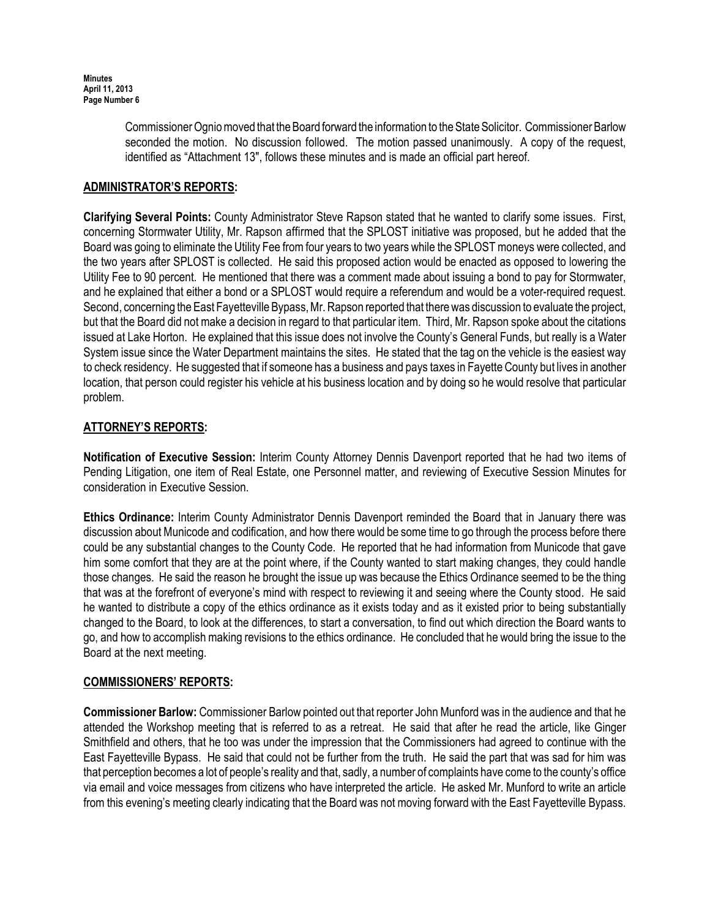Commissioner Ognio moved that the Board forward the information to the State Solicitor. Commissioner Barlow seconded the motion. No discussion followed. The motion passed unanimously. A copy of the request, identified as "Attachment 13", follows these minutes and is made an official part hereof.

# ADMINISTRATOR'S REPORTS:

Clarifying Several Points: County Administrator Steve Rapson stated that he wanted to clarify some issues. First, concerning Stormwater Utility, Mr. Rapson affirmed that the SPLOST initiative was proposed, but he added that the Board was going to eliminate the Utility Fee from four years to two years while the SPLOST moneys were collected, and the two years after SPLOST is collected. He said this proposed action would be enacted as opposed to lowering the Utility Fee to 90 percent. He mentioned that there was a comment made about issuing a bond to pay for Stormwater, and he explained that either a bond or a SPLOST would require a referendum and would be a voter-required request. Second, concerning the East Fayetteville Bypass, Mr. Rapson reported that there was discussion to evaluate the project, but that the Board did not make a decision in regard to that particular item. Third, Mr. Rapson spoke about the citations issued at Lake Horton. He explained that this issue does not involve the County's General Funds, but really is a Water System issue since the Water Department maintains the sites. He stated that the tag on the vehicle is the easiest way to check residency. He suggested that if someone has a business and pays taxes in Fayette County but lives in another location, that person could register his vehicle at his business location and by doing so he would resolve that particular problem.

## ATTORNEY'S REPORTS:

Notification of Executive Session: Interim County Attorney Dennis Davenport reported that he had two items of Pending Litigation, one item of Real Estate, one Personnel matter, and reviewing of Executive Session Minutes for consideration in Executive Session.

Ethics Ordinance: Interim County Administrator Dennis Davenport reminded the Board that in January there was discussion about Municode and codification, and how there would be some time to go through the process before there could be any substantial changes to the County Code. He reported that he had information from Municode that gave him some comfort that they are at the point where, if the County wanted to start making changes, they could handle those changes. He said the reason he brought the issue up was because the Ethics Ordinance seemed to be the thing that was at the forefront of everyone's mind with respect to reviewing it and seeing where the County stood. He said he wanted to distribute a copy of the ethics ordinance as it exists today and as it existed prior to being substantially changed to the Board, to look at the differences, to start a conversation, to find out which direction the Board wants to go, and how to accomplish making revisions to the ethics ordinance. He concluded that he would bring the issue to the Board at the next meeting.

### COMMISSIONERS' REPORTS:

Commissioner Barlow: Commissioner Barlow pointed out that reporter John Munford was in the audience and that he attended the Workshop meeting that is referred to as a retreat. He said that after he read the article, like Ginger Smithfield and others, that he too was under the impression that the Commissioners had agreed to continue with the East Fayetteville Bypass. He said that could not be further from the truth. He said the part that was sad for him was that perception becomes a lot of people's reality and that, sadly, a number of complaints have come to the county's office via email and voice messages from citizens who have interpreted the article. He asked Mr. Munford to write an article from this evening's meeting clearly indicating that the Board was not moving forward with the East Fayetteville Bypass.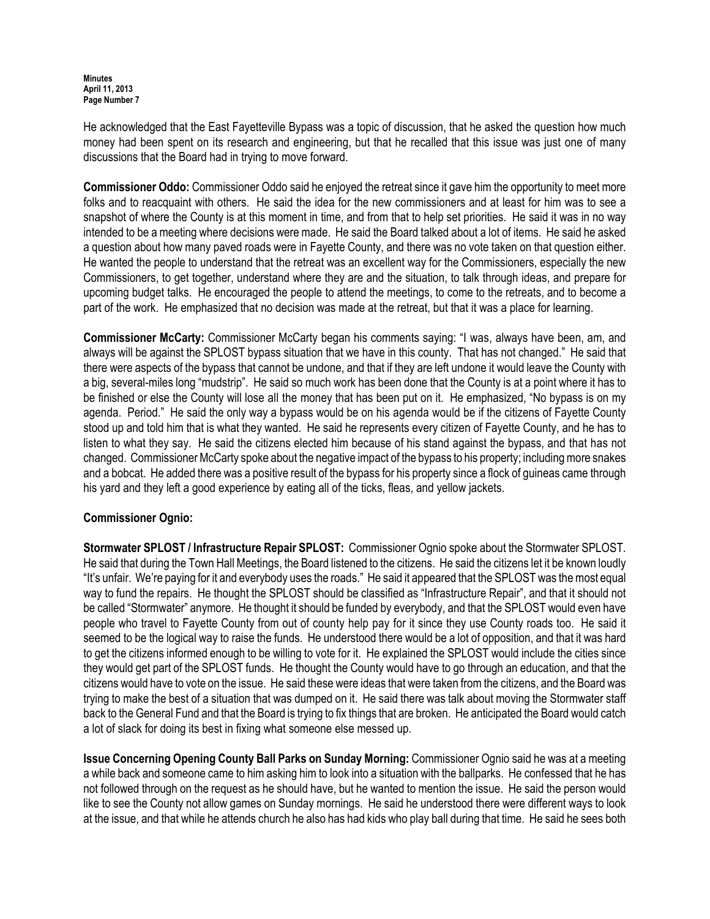He acknowledged that the East Fayetteville Bypass was a topic of discussion, that he asked the question how much money had been spent on its research and engineering, but that he recalled that this issue was just one of many discussions that the Board had in trying to move forward.

Commissioner Oddo: Commissioner Oddo said he enjoyed the retreat since it gave him the opportunity to meet more folks and to reacquaint with others. He said the idea for the new commissioners and at least for him was to see a snapshot of where the County is at this moment in time, and from that to help set priorities. He said it was in no way intended to be a meeting where decisions were made. He said the Board talked about a lot of items. He said he asked a question about how many paved roads were in Fayette County, and there was no vote taken on that question either. He wanted the people to understand that the retreat was an excellent way for the Commissioners, especially the new Commissioners, to get together, understand where they are and the situation, to talk through ideas, and prepare for upcoming budget talks. He encouraged the people to attend the meetings, to come to the retreats, and to become a part of the work. He emphasized that no decision was made at the retreat, but that it was a place for learning.

Commissioner McCarty: Commissioner McCarty began his comments saying: "I was, always have been, am, and always will be against the SPLOST bypass situation that we have in this county. That has not changed." He said that there were aspects of the bypass that cannot be undone, and that if they are left undone it would leave the County with a big, several-miles long "mudstrip". He said so much work has been done that the County is at a point where it has to be finished or else the County will lose all the money that has been put on it. He emphasized, "No bypass is on my agenda. Period." He said the only way a bypass would be on his agenda would be if the citizens of Fayette County stood up and told him that is what they wanted. He said he represents every citizen of Fayette County, and he has to listen to what they say. He said the citizens elected him because of his stand against the bypass, and that has not changed. Commissioner McCarty spoke about the negative impact of the bypass to his property; including more snakes and a bobcat. He added there was a positive result of the bypass for his property since a flock of guineas came through his yard and they left a good experience by eating all of the ticks, fleas, and yellow jackets.

## Commissioner Ognio:

Stormwater SPLOST / Infrastructure Repair SPLOST: Commissioner Ognio spoke about the Stormwater SPLOST. He said that during the Town Hall Meetings, the Board listened to the citizens. He said the citizens let it be known loudly "It's unfair. We're paying for it and everybody uses the roads." He said it appeared that the SPLOST was the most equal way to fund the repairs. He thought the SPLOST should be classified as "Infrastructure Repair", and that it should not be called "Stormwater" anymore. He thought it should be funded by everybody, and that the SPLOST would even have people who travel to Fayette County from out of county help pay for it since they use County roads too. He said it seemed to be the logical way to raise the funds. He understood there would be a lot of opposition, and that it was hard to get the citizens informed enough to be willing to vote for it. He explained the SPLOST would include the cities since they would get part of the SPLOST funds. He thought the County would have to go through an education, and that the citizens would have to vote on the issue. He said these were ideas that were taken from the citizens, and the Board was trying to make the best of a situation that was dumped on it. He said there was talk about moving the Stormwater staff back to the General Fund and that the Board is trying to fix things that are broken. He anticipated the Board would catch a lot of slack for doing its best in fixing what someone else messed up.

Issue Concerning Opening County Ball Parks on Sunday Morning: Commissioner Ognio said he was at a meeting a while back and someone came to him asking him to look into a situation with the ballparks. He confessed that he has not followed through on the request as he should have, but he wanted to mention the issue. He said the person would like to see the County not allow games on Sunday mornings. He said he understood there were different ways to look at the issue, and that while he attends church he also has had kids who play ball during that time. He said he sees both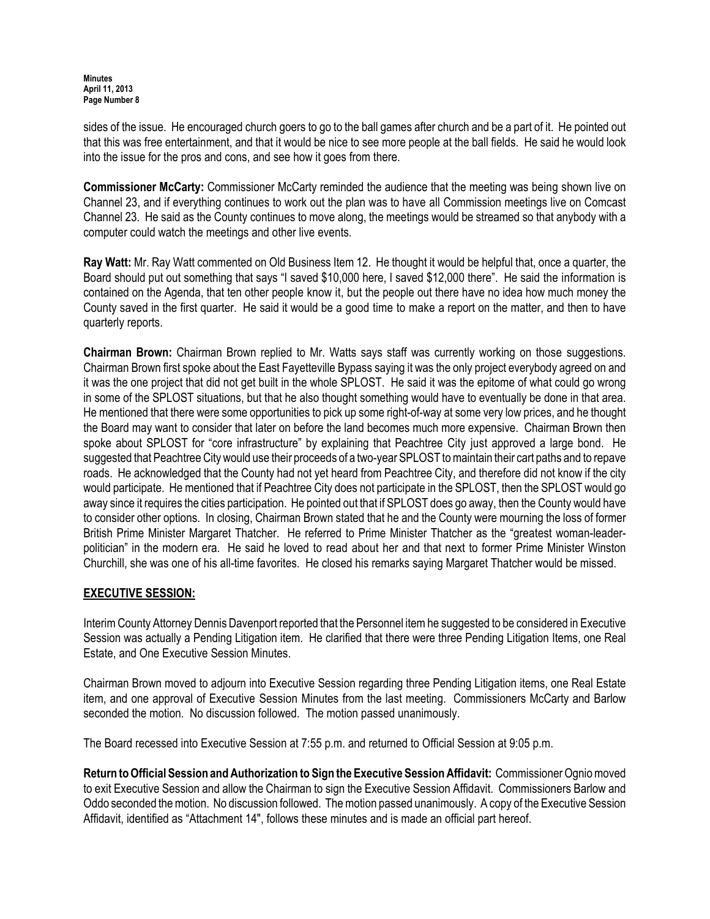sides of the issue. He encouraged church goers to go to the ball games after church and be a part of it. He pointed out that this was free entertainment, and that it would be nice to see more people at the ball fields. He said he would look into the issue for the pros and cons, and see how it goes from there.

**Commissioner McCarty:** Commissioner McCarty reminded the audience that the meeting was being shown live on Channel 23, and if everything continues to work out the plan was to have all Commission meetings live on Comcast Channel 23. He said as the County continues to move along, the meetings would be streamed so that anybody with a computer could watch the meetings and other live events.

Ray Watt: Mr. Ray Watt commented on Old Business Item 12. He thought it would be helpful that, once a quarter, the Board should put out something that says "I saved \$10,000 here, I saved \$12,000 there". He said the information is contained on the Agenda, that ten other people know it, but the people out there have no idea how much money the County saved in the first quarter. He said it would be a good time to make a report on the matter, and then to have quarterly reports.

Chairman Brown: Chairman Brown replied to Mr. Watts says staff was currently working on those suggestions. Chairman Brown first spoke about the East Fayetteville Bypass saying it was the only project everybody agreed on and it was the one project that did not get built in the whole SPLOST. He said it was the epitome of what could go wrong in some of the SPLOST situations, but that he also thought something would have to eventually be done in that area. He mentioned that there were some opportunities to pick up some right-of-way at some very low prices, and he thought the Board may want to consider that later on before the land becomes much more expensive. Chairman Brown then spoke about SPLOST for "core infrastructure" by explaining that Peachtree City just approved a large bond. He suggested that Peachtree City would use their proceeds of a two-year SPLOST to maintain their cart paths and to repave roads. He acknowledged that the County had not yet heard from Peachtree City, and therefore did not know if the city would participate. He mentioned that if Peachtree City does not participate in the SPLOST, then the SPLOST would go away since it requires the cities participation. He pointed out that if SPLOST does go away, then the County would have to consider other options. In closing, Chairman Brown stated that he and the County were mourning the loss of former British Prime Minister Margaret Thatcher. He referred to Prime Minister Thatcher as the "greatest woman-leaderpolitician" in the modern era. He said he loved to read about her and that next to former Prime Minister Winston Churchill, she was one of his all-time favorites. He closed his remarks saying Margaret Thatcher would be missed.

## EXECUTIVE SESSION:

Interim County Attorney Dennis Davenport reported that the Personnel item he suggested to be considered in Executive Session was actually a Pending Litigation item. He clarified that there were three Pending Litigation Items, one Real Estate, and One Executive Session Minutes.

Chairman Brown moved to adjourn into Executive Session regarding three Pending Litigation items, one Real Estate item, and one approval of Executive Session Minutes from the last meeting. Commissioners McCarty and Barlow seconded the motion. No discussion followed. The motion passed unanimously.

The Board recessed into Executive Session at 7:55 p.m. and returned to Official Session at 9:05 p.m.

Return to Official Session and Authorization to Sign the Executive Session Affidavit: Commissioner Ognio moved to exit Executive Session and allow the Chairman to sign the Executive Session Affidavit. Commissioners Barlow and Oddo seconded the motion. No discussion followed. The motion passed unanimously. A copy of the Executive Session Affidavit, identified as "Attachment 14", follows these minutes and is made an official part hereof.